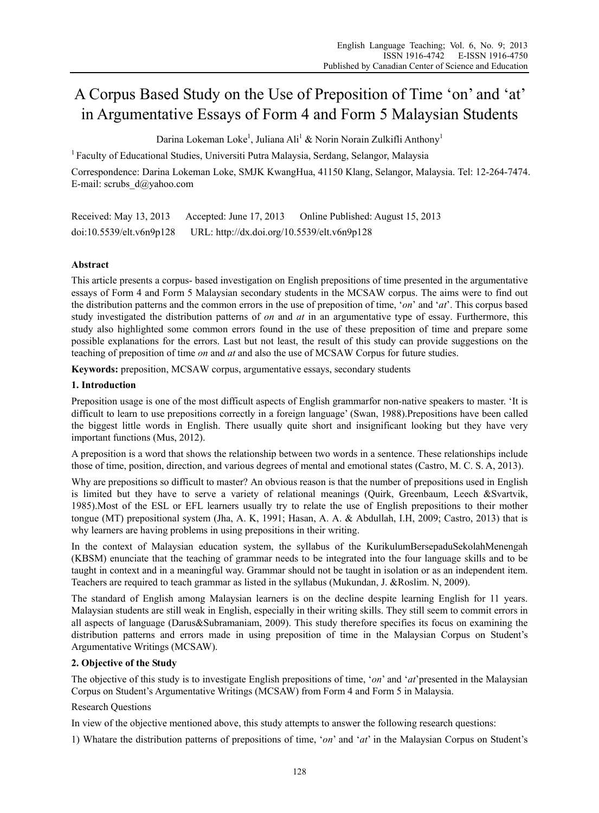# A Corpus Based Study on the Use of Preposition of Time 'on' and 'at' in Argumentative Essays of Form 4 and Form 5 Malaysian Students

Darina Lokeman Loke<sup>1</sup>, Juliana Ali<sup>1</sup> & Norin Norain Zulkifli Anthony<sup>1</sup>

<sup>1</sup> Faculty of Educational Studies, Universiti Putra Malaysia, Serdang, Selangor, Malaysia

Correspondence: Darina Lokeman Loke, SMJK KwangHua, 41150 Klang, Selangor, Malaysia. Tel: 12-264-7474. E-mail: scrubs\_d@yahoo.com

Received: May 13, 2013 Accepted: June 17, 2013 Online Published: August 15, 2013 doi:10.5539/elt.v6n9p128 URL: http://dx.doi.org/10.5539/elt.v6n9p128

# **Abstract**

This article presents a corpus- based investigation on English prepositions of time presented in the argumentative essays of Form 4 and Form 5 Malaysian secondary students in the MCSAW corpus. The aims were to find out the distribution patterns and the common errors in the use of preposition of time, '*on*' and '*at*'. This corpus based study investigated the distribution patterns of *on* and *at* in an argumentative type of essay. Furthermore, this study also highlighted some common errors found in the use of these preposition of time and prepare some possible explanations for the errors. Last but not least, the result of this study can provide suggestions on the teaching of preposition of time *on* and *at* and also the use of MCSAW Corpus for future studies.

**Keywords:** preposition, MCSAW corpus, argumentative essays, secondary students

# **1. Introduction**

Preposition usage is one of the most difficult aspects of English grammarfor non-native speakers to master. 'It is difficult to learn to use prepositions correctly in a foreign language' (Swan, 1988).Prepositions have been called the biggest little words in English. There usually quite short and insignificant looking but they have very important functions (Mus, 2012).

A preposition is a word that shows the relationship between two words in a sentence. These relationships include those of time, position, direction, and various degrees of mental and emotional states (Castro, M. C. S. A, 2013).

Why are prepositions so difficult to master? An obvious reason is that the number of prepositions used in English is limited but they have to serve a variety of relational meanings (Quirk, Greenbaum, Leech &Svartvik, 1985).Most of the ESL or EFL learners usually try to relate the use of English prepositions to their mother tongue (MT) prepositional system (Jha, A. K, 1991; Hasan, A. A. & Abdullah, I.H, 2009; Castro, 2013) that is why learners are having problems in using prepositions in their writing.

In the context of Malaysian education system, the syllabus of the KurikulumBersepaduSekolahMenengah (KBSM) enunciate that the teaching of grammar needs to be integrated into the four language skills and to be taught in context and in a meaningful way. Grammar should not be taught in isolation or as an independent item. Teachers are required to teach grammar as listed in the syllabus (Mukundan, J. &Roslim. N, 2009).

The standard of English among Malaysian learners is on the decline despite learning English for 11 years. Malaysian students are still weak in English, especially in their writing skills. They still seem to commit errors in all aspects of language (Darus&Subramaniam, 2009). This study therefore specifies its focus on examining the distribution patterns and errors made in using preposition of time in the Malaysian Corpus on Student's Argumentative Writings (MCSAW).

# **2. Objective of the Study**

The objective of this study is to investigate English prepositions of time, '*on*' and '*at*'presented in the Malaysian Corpus on Student's Argumentative Writings (MCSAW) from Form 4 and Form 5 in Malaysia.

# Research Questions

In view of the objective mentioned above, this study attempts to answer the following research questions:

1) Whatare the distribution patterns of prepositions of time, '*on*' and '*at*' in the Malaysian Corpus on Student's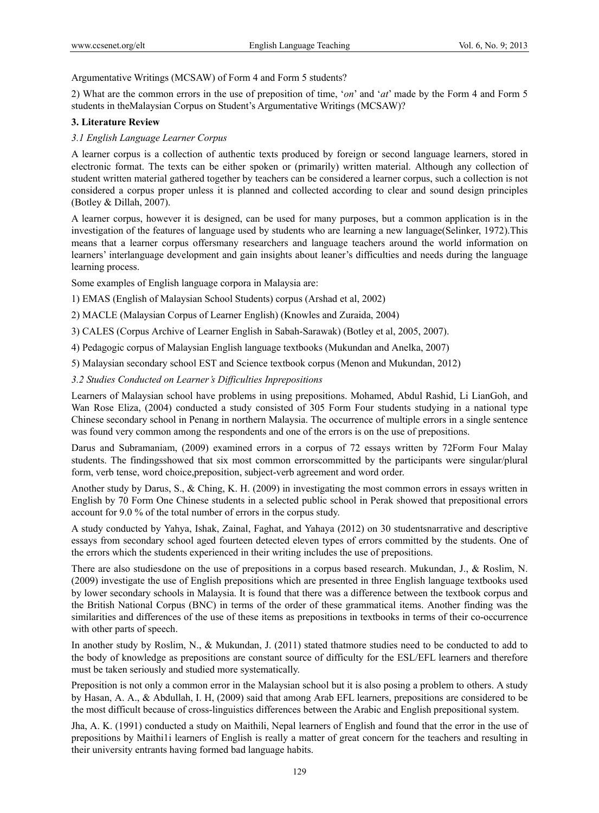Argumentative Writings (MCSAW) of Form 4 and Form 5 students?

2) What are the common errors in the use of preposition of time, '*on*' and '*at*' made by the Form 4 and Form 5 students in theMalaysian Corpus on Student's Argumentative Writings (MCSAW)?

## **3. Literature Review**

# *3.1 English Language Learner Corpus*

A learner corpus is a collection of authentic texts produced by foreign or second language learners, stored in electronic format. The texts can be either spoken or (primarily) written material. Although any collection of student written material gathered together by teachers can be considered a learner corpus, such a collection is not considered a corpus proper unless it is planned and collected according to clear and sound design principles (Botley & Dillah, 2007).

A learner corpus, however it is designed, can be used for many purposes, but a common application is in the investigation of the features of language used by students who are learning a new language(Selinker, 1972).This means that a learner corpus offersmany researchers and language teachers around the world information on learners' interlanguage development and gain insights about leaner's difficulties and needs during the language learning process.

Some examples of English language corpora in Malaysia are:

1) EMAS (English of Malaysian School Students) corpus (Arshad et al, 2002)

2) MACLE (Malaysian Corpus of Learner English) (Knowles and Zuraida, 2004)

3) CALES (Corpus Archive of Learner English in Sabah-Sarawak) (Botley et al, 2005, 2007).

4) Pedagogic corpus of Malaysian English language textbooks (Mukundan and Anelka, 2007)

5) Malaysian secondary school EST and Science textbook corpus (Menon and Mukundan, 2012)

## *3.2 Studies Conducted on Learner's Difficulties Inprepositions*

Learners of Malaysian school have problems in using prepositions. Mohamed, Abdul Rashid, Li LianGoh, and Wan Rose Eliza, (2004) conducted a study consisted of 305 Form Four students studying in a national type Chinese secondary school in Penang in northern Malaysia. The occurrence of multiple errors in a single sentence was found very common among the respondents and one of the errors is on the use of prepositions.

Darus and Subramaniam, (2009) examined errors in a corpus of 72 essays written by 72Form Four Malay students. The findingsshowed that six most common errorscommitted by the participants were singular/plural form, verb tense, word choice,preposition, subject-verb agreement and word order.

Another study by Darus, S., & Ching, K. H. (2009) in investigating the most common errors in essays written in English by 70 Form One Chinese students in a selected public school in Perak showed that prepositional errors account for 9.0 % of the total number of errors in the corpus study.

A study conducted by Yahya, Ishak, Zainal, Faghat, and Yahaya (2012) on 30 studentsnarrative and descriptive essays from secondary school aged fourteen detected eleven types of errors committed by the students. One of the errors which the students experienced in their writing includes the use of prepositions.

There are also studiesdone on the use of prepositions in a corpus based research. Mukundan, J., & Roslim, N. (2009) investigate the use of English prepositions which are presented in three English language textbooks used by lower secondary schools in Malaysia. It is found that there was a difference between the textbook corpus and the British National Corpus (BNC) in terms of the order of these grammatical items. Another finding was the similarities and differences of the use of these items as prepositions in textbooks in terms of their co-occurrence with other parts of speech.

In another study by Roslim, N., & Mukundan, J. (2011) stated thatmore studies need to be conducted to add to the body of knowledge as prepositions are constant source of difficulty for the ESL/EFL learners and therefore must be taken seriously and studied more systematically.

Preposition is not only a common error in the Malaysian school but it is also posing a problem to others. A study by Hasan, A. A., & Abdullah, I. H, (2009) said that among Arab EFL learners, prepositions are considered to be the most difficult because of cross-linguistics differences between the Arabic and English prepositional system.

Jha, A. K. (1991) conducted a study on Maithili, Nepal learners of English and found that the error in the use of prepositions by Maithi1i learners of English is really a matter of great concern for the teachers and resulting in their university entrants having formed bad language habits.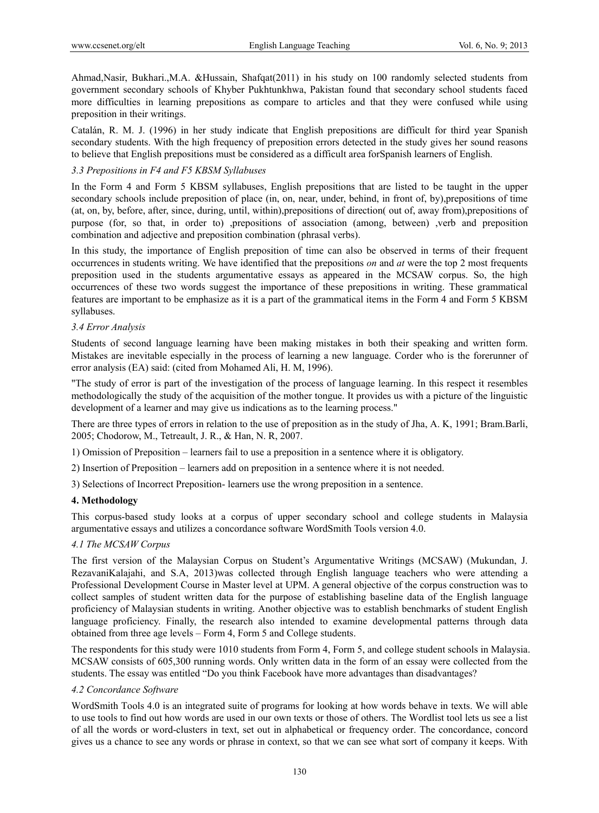Ahmad,Nasir, Bukhari.,M.A. &Hussain, Shafqat(2011) in his study on 100 randomly selected students from government secondary schools of Khyber Pukhtunkhwa, Pakistan found that secondary school students faced more difficulties in learning prepositions as compare to articles and that they were confused while using preposition in their writings.

Catalán, R. M. J. (1996) in her study indicate that English prepositions are difficult for third year Spanish secondary students. With the high frequency of preposition errors detected in the study gives her sound reasons to believe that English prepositions must be considered as a difficult area forSpanish learners of English.

## *3.3 Prepositions in F4 and F5 KBSM Syllabuses*

In the Form 4 and Form 5 KBSM syllabuses, English prepositions that are listed to be taught in the upper secondary schools include preposition of place (in, on, near, under, behind, in front of, by),prepositions of time (at, on, by, before, after, since, during, until, within),prepositions of direction( out of, away from),prepositions of purpose (for, so that, in order to) ,prepositions of association (among, between) ,verb and preposition combination and adjective and preposition combination (phrasal verbs).

In this study, the importance of English preposition of time can also be observed in terms of their frequent occurrences in students writing. We have identified that the prepositions *on* and *at* were the top 2 most frequents preposition used in the students argumentative essays as appeared in the MCSAW corpus. So, the high occurrences of these two words suggest the importance of these prepositions in writing. These grammatical features are important to be emphasize as it is a part of the grammatical items in the Form 4 and Form 5 KBSM syllabuses.

## *3.4 Error Analysis*

Students of second language learning have been making mistakes in both their speaking and written form. Mistakes are inevitable especially in the process of learning a new language. Corder who is the forerunner of error analysis (EA) said: (cited from Mohamed Ali, H. M, 1996).

"The study of error is part of the investigation of the process of language learning. In this respect it resembles methodologically the study of the acquisition of the mother tongue. It provides us with a picture of the linguistic development of a learner and may give us indications as to the learning process."

There are three types of errors in relation to the use of preposition as in the study of Jha, A. K, 1991; Bram.Barli, 2005; Chodorow, M., Tetreault, J. R., & Han, N. R, 2007.

1) Omission of Preposition – learners fail to use a preposition in a sentence where it is obligatory.

2) Insertion of Preposition – learners add on preposition in a sentence where it is not needed.

3) Selections of Incorrect Preposition- learners use the wrong preposition in a sentence.

## **4. Methodology**

This corpus-based study looks at a corpus of upper secondary school and college students in Malaysia argumentative essays and utilizes a concordance software WordSmith Tools version 4.0.

## *4.1 The MCSAW Corpus*

The first version of the Malaysian Corpus on Student's Argumentative Writings (MCSAW) (Mukundan, J. RezavaniKalajahi, and S.A, 2013)was collected through English language teachers who were attending a Professional Development Course in Master level at UPM. A general objective of the corpus construction was to collect samples of student written data for the purpose of establishing baseline data of the English language proficiency of Malaysian students in writing. Another objective was to establish benchmarks of student English language proficiency. Finally, the research also intended to examine developmental patterns through data obtained from three age levels – Form 4, Form 5 and College students.

The respondents for this study were 1010 students from Form 4, Form 5, and college student schools in Malaysia. MCSAW consists of 605,300 running words. Only written data in the form of an essay were collected from the students. The essay was entitled "Do you think Facebook have more advantages than disadvantages?

# *4.2 Concordance Software*

WordSmith Tools 4.0 is an integrated suite of programs for looking at how words behave in texts. We will able to use tools to find out how words are used in our own texts or those of others. The Wordlist tool lets us see a list of all the words or word-clusters in text, set out in alphabetical or frequency order. The concordance, concord gives us a chance to see any words or phrase in context, so that we can see what sort of company it keeps. With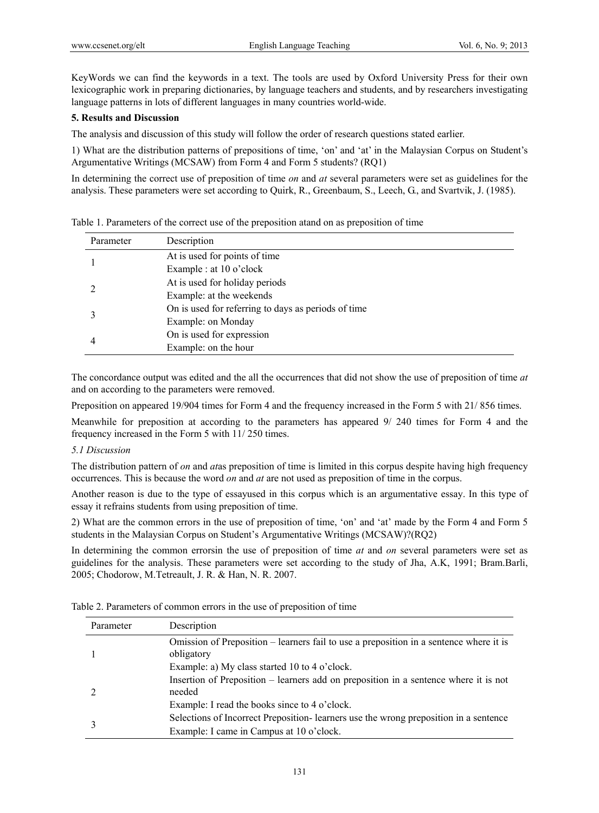KeyWords we can find the keywords in a text. The tools are used by Oxford University Press for their own lexicographic work in preparing dictionaries, by language teachers and students, and by researchers investigating language patterns in lots of different languages in many countries world-wide.

# **5. Results and Discussion**

The analysis and discussion of this study will follow the order of research questions stated earlier.

1) What are the distribution patterns of prepositions of time, 'on' and 'at' in the Malaysian Corpus on Student's Argumentative Writings (MCSAW) from Form 4 and Form 5 students? (RQ1)

In determining the correct use of preposition of time *on* and *at* several parameters were set as guidelines for the analysis. These parameters were set according to Quirk, R., Greenbaum, S., Leech, G., and Svartvik, J. (1985).

| Parameter | Description                                         |
|-----------|-----------------------------------------------------|
|           | At is used for points of time                       |
|           | Example : at 10 o'clock                             |
|           | At is used for holiday periods                      |
|           | Example: at the weekends                            |
|           | On is used for referring to days as periods of time |
|           | Example: on Monday                                  |
| 4         | On is used for expression                           |
|           | Example: on the hour                                |

Table 1. Parameters of the correct use of the preposition atand on as preposition of time

The concordance output was edited and the all the occurrences that did not show the use of preposition of time *at* and on according to the parameters were removed.

Preposition on appeared 19/904 times for Form 4 and the frequency increased in the Form 5 with 21/ 856 times.

Meanwhile for preposition at according to the parameters has appeared 9/ 240 times for Form 4 and the frequency increased in the Form 5 with 11/ 250 times.

#### *5.1 Discussion*

The distribution pattern of *on* and *at*as preposition of time is limited in this corpus despite having high frequency occurrences. This is because the word *on* and *at* are not used as preposition of time in the corpus.

Another reason is due to the type of essayused in this corpus which is an argumentative essay. In this type of essay it refrains students from using preposition of time.

2) What are the common errors in the use of preposition of time, 'on' and 'at' made by the Form 4 and Form 5 students in the Malaysian Corpus on Student's Argumentative Writings (MCSAW)?(RQ2)

In determining the common errorsin the use of preposition of time *at* and *on* several parameters were set as guidelines for the analysis. These parameters were set according to the study of Jha, A.K, 1991; Bram.Barli, 2005; Chodorow, M.Tetreault, J. R. & Han, N. R. 2007.

Table 2. Parameters of common errors in the use of preposition of time

| Parameter | Description                                                                                          |
|-----------|------------------------------------------------------------------------------------------------------|
|           | Omission of Preposition – learners fail to use a preposition in a sentence where it is<br>obligatory |
|           | Example: a) My class started 10 to 4 o'clock.                                                        |
|           | Insertion of Preposition – learners add on preposition in a sentence where it is not<br>needed       |
|           | Example: I read the books since to 4 o'clock.                                                        |
|           | Selections of Incorrect Preposition - learners use the wrong preposition in a sentence               |
|           | Example: I came in Campus at 10 o'clock.                                                             |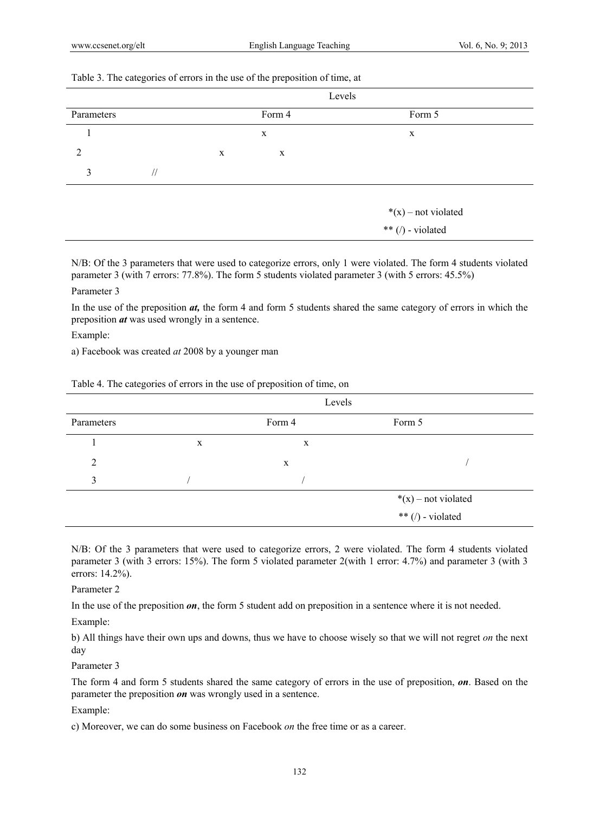## Table 3. The categories of errors in the use of the preposition of time, at

|            |           |             |        | Levels                                   |   |
|------------|-----------|-------------|--------|------------------------------------------|---|
| Parameters |           |             | Form 4 | Form 5                                   |   |
|            |           | $\mathbf X$ |        |                                          | X |
| C          |           | X           | X      |                                          |   |
| 3          | $\sqrt{}$ |             |        |                                          |   |
|            |           |             |        | *(x) – not violated<br>** (/) - violated |   |

N/B: Of the 3 parameters that were used to categorize errors, only 1 were violated. The form 4 students violated parameter 3 (with 7 errors: 77.8%). The form 5 students violated parameter 3 (with 5 errors: 45.5%)

# Parameter 3

In the use of the preposition *at,* the form 4 and form 5 students shared the same category of errors in which the preposition *at* was used wrongly in a sentence.

#### Example:

a) Facebook was created *at* 2008 by a younger man

|            |   | Levels |                                          |  |
|------------|---|--------|------------------------------------------|--|
| Parameters |   | Form 4 | Form 5                                   |  |
|            | X | X      |                                          |  |
| 2          |   | X      |                                          |  |
| 3          |   |        |                                          |  |
|            |   |        | $*(x)$ – not violated                    |  |
|            |   |        | ** $\left(\frac{1}{2}\right)$ - violated |  |

Table 4. The categories of errors in the use of preposition of time, on

N/B: Of the 3 parameters that were used to categorize errors, 2 were violated. The form 4 students violated parameter 3 (with 3 errors: 15%). The form 5 violated parameter 2(with 1 error: 4.7%) and parameter 3 (with 3 errors: 14.2%).

## Parameter 2

In the use of the preposition *on*, the form 5 student add on preposition in a sentence where it is not needed.

Example:

b) All things have their own ups and downs, thus we have to choose wisely so that we will not regret *on* the next day

## Parameter 3

The form 4 and form 5 students shared the same category of errors in the use of preposition, *on*. Based on the parameter the preposition *on* was wrongly used in a sentence.

#### Example:

c) Moreover, we can do some business on Facebook *on* the free time or as a career.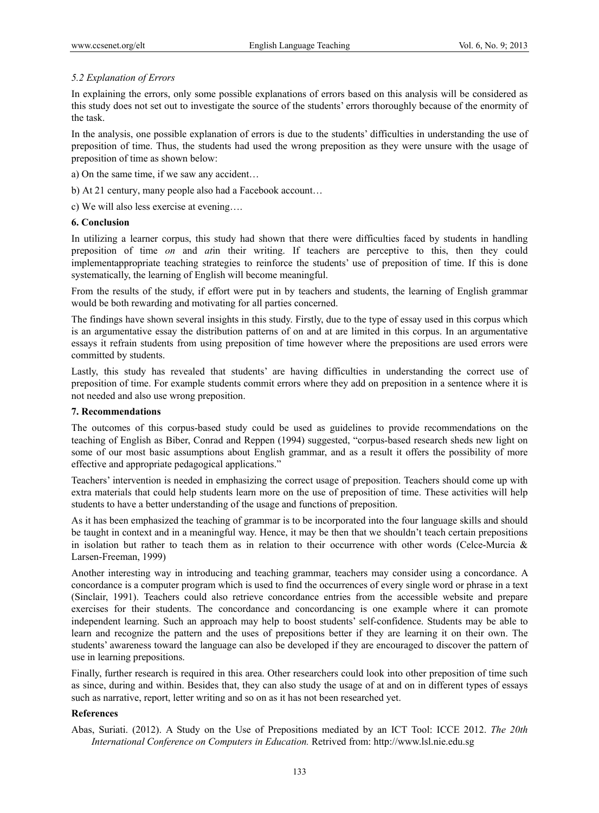# *5.2 Explanation of Errors*

In explaining the errors, only some possible explanations of errors based on this analysis will be considered as this study does not set out to investigate the source of the students' errors thoroughly because of the enormity of the task.

In the analysis, one possible explanation of errors is due to the students' difficulties in understanding the use of preposition of time. Thus, the students had used the wrong preposition as they were unsure with the usage of preposition of time as shown below:

- a) On the same time, if we saw any accident…
- b) At 21 century, many people also had a Facebook account…

c) We will also less exercise at evening….

#### **6. Conclusion**

In utilizing a learner corpus, this study had shown that there were difficulties faced by students in handling preposition of time *on* and *at*in their writing. If teachers are perceptive to this, then they could implementappropriate teaching strategies to reinforce the students' use of preposition of time. If this is done systematically, the learning of English will become meaningful.

From the results of the study, if effort were put in by teachers and students, the learning of English grammar would be both rewarding and motivating for all parties concerned.

The findings have shown several insights in this study. Firstly, due to the type of essay used in this corpus which is an argumentative essay the distribution patterns of on and at are limited in this corpus. In an argumentative essays it refrain students from using preposition of time however where the prepositions are used errors were committed by students.

Lastly, this study has revealed that students' are having difficulties in understanding the correct use of preposition of time. For example students commit errors where they add on preposition in a sentence where it is not needed and also use wrong preposition.

## **7. Recommendations**

The outcomes of this corpus-based study could be used as guidelines to provide recommendations on the teaching of English as Biber, Conrad and Reppen (1994) suggested, "corpus-based research sheds new light on some of our most basic assumptions about English grammar, and as a result it offers the possibility of more effective and appropriate pedagogical applications."

Teachers' intervention is needed in emphasizing the correct usage of preposition. Teachers should come up with extra materials that could help students learn more on the use of preposition of time. These activities will help students to have a better understanding of the usage and functions of preposition.

As it has been emphasized the teaching of grammar is to be incorporated into the four language skills and should be taught in context and in a meaningful way. Hence, it may be then that we shouldn't teach certain prepositions in isolation but rather to teach them as in relation to their occurrence with other words (Celce-Murcia  $\&$ Larsen-Freeman, 1999)

Another interesting way in introducing and teaching grammar, teachers may consider using a concordance. A concordance is a computer program which is used to find the occurrences of every single word or phrase in a text (Sinclair, 1991). Teachers could also retrieve concordance entries from the accessible website and prepare exercises for their students. The concordance and concordancing is one example where it can promote independent learning. Such an approach may help to boost students' self-confidence. Students may be able to learn and recognize the pattern and the uses of prepositions better if they are learning it on their own. The students' awareness toward the language can also be developed if they are encouraged to discover the pattern of use in learning prepositions.

Finally, further research is required in this area. Other researchers could look into other preposition of time such as since, during and within. Besides that, they can also study the usage of at and on in different types of essays such as narrative, report, letter writing and so on as it has not been researched yet.

# **References**

Abas, Suriati. (2012). A Study on the Use of Prepositions mediated by an ICT Tool: ICCE 2012. *The 20th International Conference on Computers in Education.* Retrived from: http://www.lsl.nie.edu.sg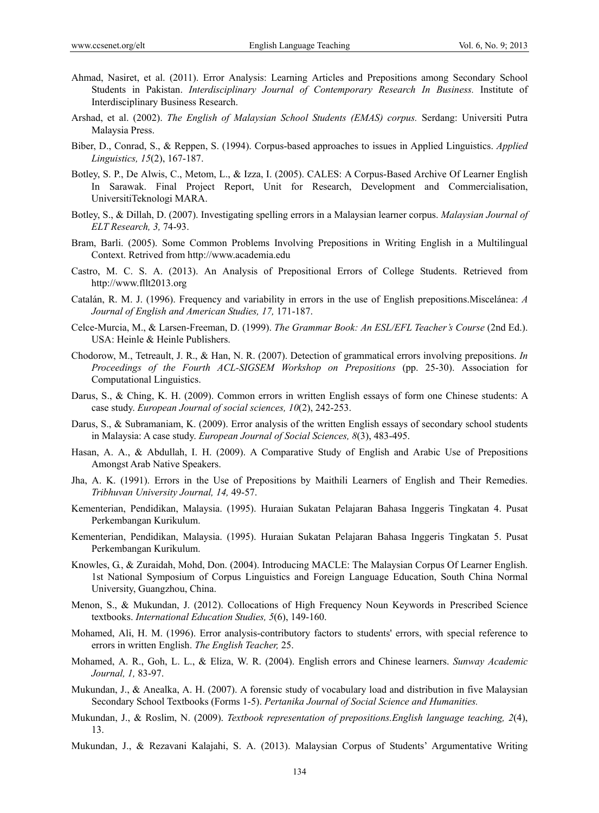- Ahmad, Nasiret, et al. (2011). Error Analysis: Learning Articles and Prepositions among Secondary School Students in Pakistan. *Interdisciplinary Journal of Contemporary Research In Business.* Institute of Interdisciplinary Business Research.
- Arshad, et al. (2002). *The English of Malaysian School Students (EMAS) corpus.* Serdang: Universiti Putra Malaysia Press.
- Biber, D., Conrad, S., & Reppen, S. (1994). Corpus-based approaches to issues in Applied Linguistics. *Applied Linguistics, 15*(2), 167-187.
- Botley, S. P., De Alwis, C., Metom, L., & Izza, I. (2005). CALES: A Corpus-Based Archive Of Learner English In Sarawak. Final Project Report, Unit for Research, Development and Commercialisation, UniversitiTeknologi MARA.
- Botley, S., & Dillah, D. (2007). Investigating spelling errors in a Malaysian learner corpus. *Malaysian Journal of ELT Research, 3,* 74-93.
- Bram, Barli. (2005). Some Common Problems Involving Prepositions in Writing English in a Multilingual Context. Retrived from http://www.academia.edu
- Castro, M. C. S. A. (2013). An Analysis of Prepositional Errors of College Students. Retrieved from http://www.fllt2013.org
- Catalán, R. M. J. (1996). Frequency and variability in errors in the use of English prepositions.Miscelánea: *A Journal of English and American Studies, 17,* 171-187.
- Celce-Murcia, M., & Larsen-Freeman, D. (1999). *The Grammar Book: An ESL/EFL Teacher's Course* (2nd Ed.). USA: Heinle & Heinle Publishers.
- Chodorow, M., Tetreault, J. R., & Han, N. R. (2007). Detection of grammatical errors involving prepositions. *In Proceedings of the Fourth ACL-SIGSEM Workshop on Prepositions* (pp. 25-30). Association for Computational Linguistics.
- Darus, S., & Ching, K. H. (2009). Common errors in written English essays of form one Chinese students: A case study. *European Journal of social sciences, 10*(2), 242-253.
- Darus, S., & Subramaniam, K. (2009). Error analysis of the written English essays of secondary school students in Malaysia: A case study. *European Journal of Social Sciences, 8*(3), 483-495.
- Hasan, A. A., & Abdullah, I. H. (2009). A Comparative Study of English and Arabic Use of Prepositions Amongst Arab Native Speakers.
- Jha, A. K. (1991). Errors in the Use of Prepositions by Maithili Learners of English and Their Remedies. *Tribhuvan University Journal, 14,* 49-57.
- Kementerian, Pendidikan, Malaysia. (1995). Huraian Sukatan Pelajaran Bahasa Inggeris Tingkatan 4. Pusat Perkembangan Kurikulum.
- Kementerian, Pendidikan, Malaysia. (1995). Huraian Sukatan Pelajaran Bahasa Inggeris Tingkatan 5. Pusat Perkembangan Kurikulum.
- Knowles, G., & Zuraidah, Mohd, Don. (2004). Introducing MACLE: The Malaysian Corpus Of Learner English. 1st National Symposium of Corpus Linguistics and Foreign Language Education, South China Normal University, Guangzhou, China.
- Menon, S., & Mukundan, J. (2012). Collocations of High Frequency Noun Keywords in Prescribed Science textbooks. *International Education Studies, 5*(6), 149-160.
- Mohamed, Ali, H. M. (1996). Error analysis-contributory factors to students' errors, with special reference to errors in written English. *The English Teacher,* 25.
- Mohamed, A. R., Goh, L. L., & Eliza, W. R. (2004). English errors and Chinese learners. *Sunway Academic Journal, 1,* 83-97.
- Mukundan, J., & Anealka, A. H. (2007). A forensic study of vocabulary load and distribution in five Malaysian Secondary School Textbooks (Forms 1-5). *Pertanika Journal of Social Science and Humanities.*
- Mukundan, J., & Roslim, N. (2009). *Textbook representation of prepositions.English language teaching, 2*(4), 13.
- Mukundan, J., & Rezavani Kalajahi, S. A. (2013). Malaysian Corpus of Students' Argumentative Writing